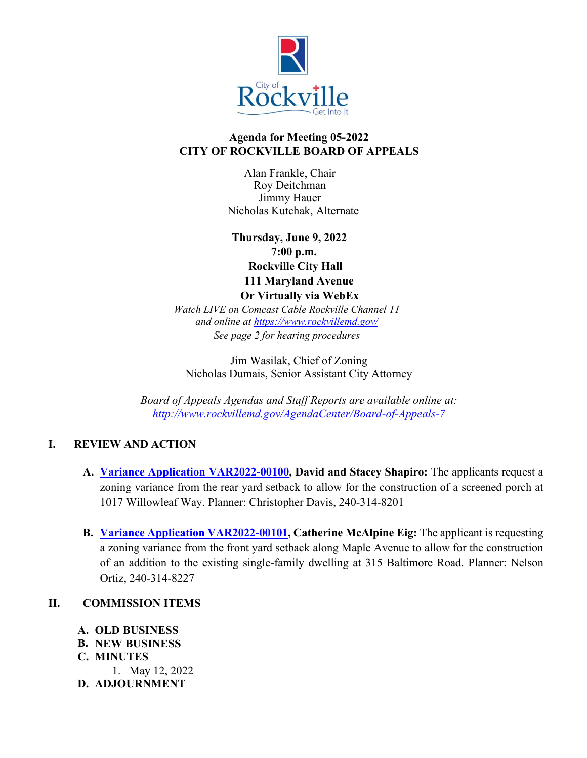

## **Agenda for Meeting 05-2022 CITY OF ROCKVILLE BOARD OF APPEALS**

Alan Frankle, Chair Roy Deitchman Jimmy Hauer Nicholas Kutchak, Alternate

 **Thursday, June 9, 2022 7:00 p.m. Rockville City Hall 111 Maryland Avenue Or Virtually via WebEx**

*Watch LIVE on Comcast Cable Rockville Channel 11 and online at<https://www.rockvillemd.gov/> See page 2 for hearing procedures*

Jim Wasilak, Chief of Zoning Nicholas Dumais, Senior Assistant City Attorney

*Board of Appeals Agendas and Staff Reports are available online at: <http://www.rockvillemd.gov/AgendaCenter/Board-of-Appeals-7>*

# **I. REVIEW AND ACTION**

- **A. [Variance Application VAR2022-00100,](https://www.rockvillemd.gov/DocumentCenter/View/45408/VAR2022-000100-1017-Willowleaf-Way-Staff-Report-) David and Stacey Shapiro:** The applicants request a zoning variance from the rear yard setback to allow for the construction of a screened porch at 1017 Willowleaf Way. Planner: Christopher Davis, 240-314-8201
- **B. [Variance Application VAR2022-00101,](https://www.rockvillemd.gov/DocumentCenter/View/45409/VAR2022_00101-315-Baltimore-Road-Staff-Report) Catherine McAlpine Eig:** The applicant is requesting a zoning variance from the front yard setback along Maple Avenue to allow for the construction of an addition to the existing single-family dwelling at 315 Baltimore Road. Planner: Nelson Ortiz, 240-314-8227

## **II. COMMISSION ITEMS**

- **A. OLD BUSINESS**
- **B. NEW BUSINESS**
- **C. MINUTES**
- 1. May 12, 2022
- **D. ADJOURNMENT**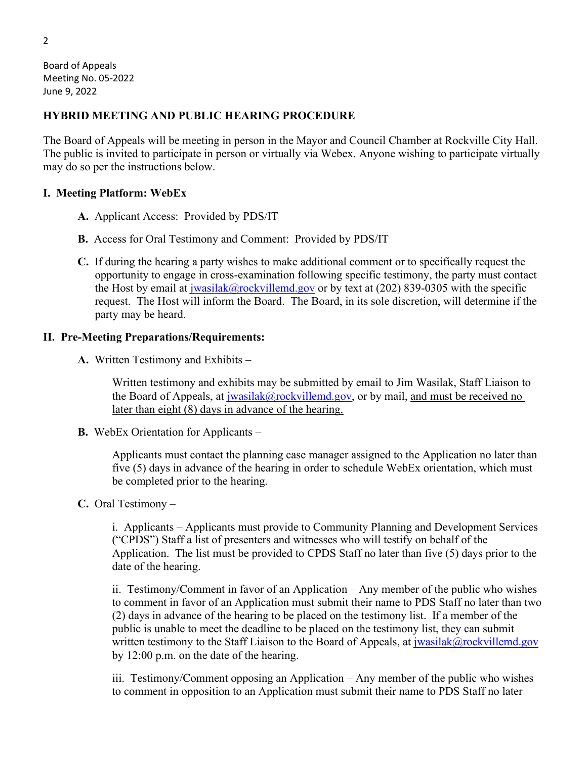Board of Appeals Meeting No. 05-2022 June 9, 2022

#### **HYBRID MEETING AND PUBLIC HEARING PROCEDURE**

The Board of Appeals will be meeting in person in the Mayor and Council Chamber at Rockville City Hall. The public is invited to participate in person or virtually via Webex. Anyone wishing to participate virtually may do so per the instructions below.

#### **I. Meeting Platform: WebEx**

- **A.** Applicant Access: Provided by PDS/IT
- **B.** Access for Oral Testimony and Comment: Provided by PDS/IT
- **C.** If during the hearing a party wishes to make additional comment or to specifically request the opportunity to engage in cross-examination following specific testimony, the party must contact the Host by email at  $j$ wasilak@rockvillemd.gov or by text at (202) 839-0305 with the specific request. The Host will inform the Board. The Board, in its sole discretion, will determine if the party may be heard.

#### **II. Pre-Meeting Preparations/Requirements:**

**A.** Written Testimony and Exhibits –

Written testimony and exhibits may be submitted by email to Jim Wasilak, Staff Liaison to the Board of Appeals, at [jwasilak@rockvillemd.gov,](mailto:jwasilak@rockvillemd.gov) or by mail, and must be received no later than eight (8) days in advance of the hearing.

**B.** WebEx Orientation for Applicants –

Applicants must contact the planning case manager assigned to the Application no later than five (5) days in advance of the hearing in order to schedule WebEx orientation, which must be completed prior to the hearing.

**C.** Oral Testimony –

i. Applicants – Applicants must provide to Community Planning and Development Services ("CPDS") Staff a list of presenters and witnesses who will testify on behalf of the Application. The list must be provided to CPDS Staff no later than five (5) days prior to the date of the hearing.

ii. Testimony/Comment in favor of an Application – Any member of the public who wishes to comment in favor of an Application must submit their name to PDS Staff no later than two (2) days in advance of the hearing to be placed on the testimony list. If a member of the public is unable to meet the deadline to be placed on the testimony list, they can submit written testimony to the Staff Liaison to the Board of Appeals, at [jwasilak@rockvillemd.gov](mailto:jwasilak@rockvillemd.gov) by 12:00 p.m. on the date of the hearing.

iii. Testimony/Comment opposing an Application – Any member of the public who wishes to comment in opposition to an Application must submit their name to PDS Staff no later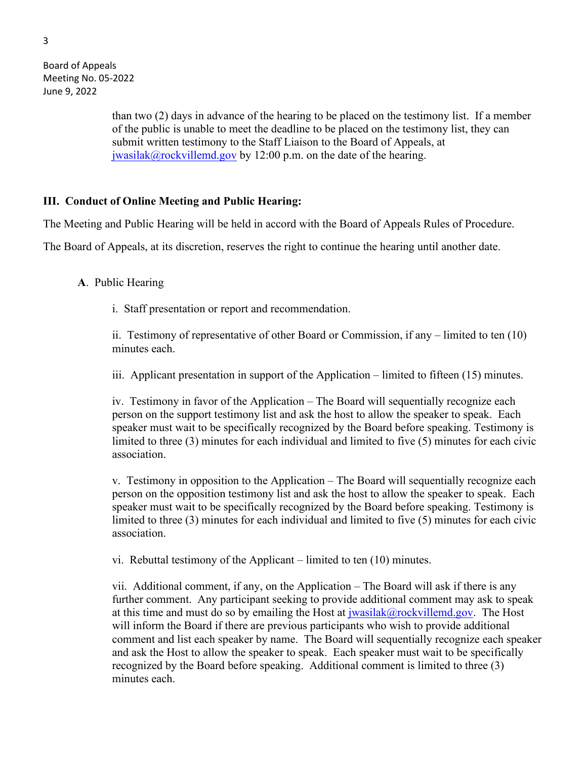Board of Appeals Meeting No. 05-2022 June 9, 2022

> than two (2) days in advance of the hearing to be placed on the testimony list. If a member of the public is unable to meet the deadline to be placed on the testimony list, they can submit written testimony to the Staff Liaison to the Board of Appeals, at [jwasilak@rockvillemd.gov](mailto:jwasilak@rockvillemd.gov) by 12:00 p.m. on the date of the hearing.

### **III. Conduct of Online Meeting and Public Hearing:**

The Meeting and Public Hearing will be held in accord with the Board of Appeals Rules of Procedure.

The Board of Appeals, at its discretion, reserves the right to continue the hearing until another date.

#### **A**. Public Hearing

i. Staff presentation or report and recommendation.

ii. Testimony of representative of other Board or Commission, if any – limited to ten (10) minutes each.

iii. Applicant presentation in support of the Application – limited to fifteen (15) minutes.

iv. Testimony in favor of the Application – The Board will sequentially recognize each person on the support testimony list and ask the host to allow the speaker to speak. Each speaker must wait to be specifically recognized by the Board before speaking. Testimony is limited to three (3) minutes for each individual and limited to five (5) minutes for each civic association.

v. Testimony in opposition to the Application – The Board will sequentially recognize each person on the opposition testimony list and ask the host to allow the speaker to speak. Each speaker must wait to be specifically recognized by the Board before speaking. Testimony is limited to three (3) minutes for each individual and limited to five (5) minutes for each civic association.

vi. Rebuttal testimony of the Applicant – limited to ten (10) minutes.

vii. Additional comment, if any, on the Application – The Board will ask if there is any further comment. Any participant seeking to provide additional comment may ask to speak at this time and must do so by emailing the Host at  $jwasilak@rockvillemd.gov$ . The Host will inform the Board if there are previous participants who wish to provide additional comment and list each speaker by name. The Board will sequentially recognize each speaker and ask the Host to allow the speaker to speak. Each speaker must wait to be specifically recognized by the Board before speaking. Additional comment is limited to three (3) minutes each.